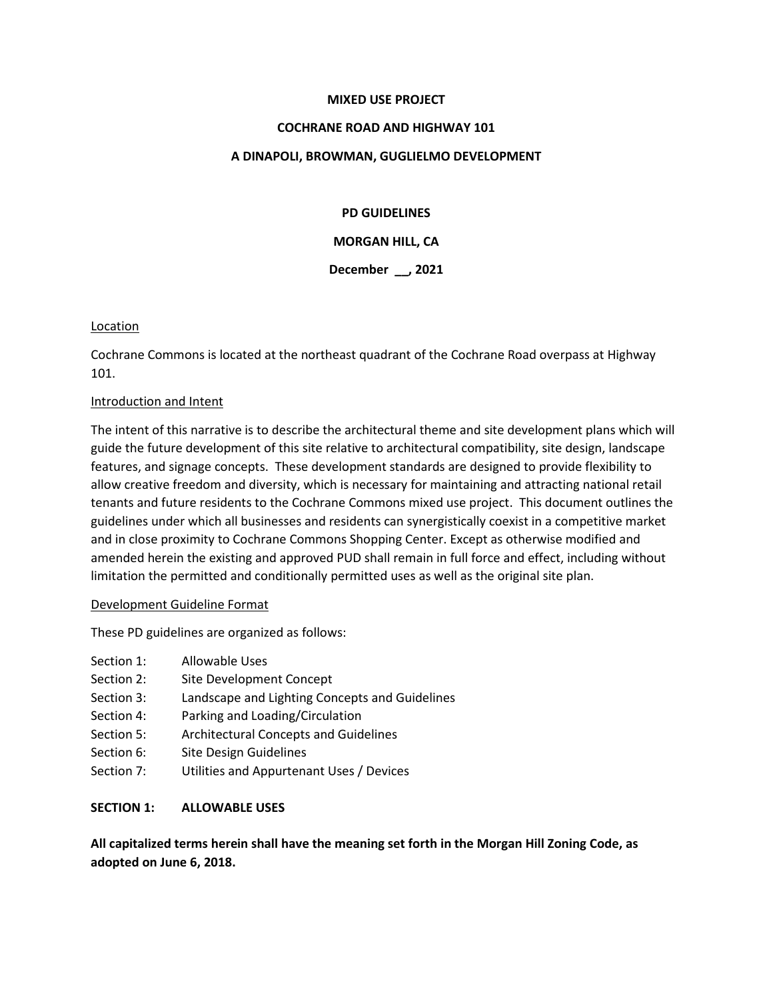### **MIXED USE PROJECT**

### **COCHRANE ROAD AND HIGHWAY 101**

### **A DINAPOLI, BROWMAN, GUGLIELMO DEVELOPMENT**

### **PD GUIDELINES**

**MORGAN HILL, CA**

**December \_\_, 2021**

### **Location**

Cochrane Commons is located at the northeast quadrant of the Cochrane Road overpass at Highway 101.

### Introduction and Intent

The intent of this narrative is to describe the architectural theme and site development plans which will guide the future development of this site relative to architectural compatibility, site design, landscape features, and signage concepts. These development standards are designed to provide flexibility to allow creative freedom and diversity, which is necessary for maintaining and attracting national retail tenants and future residents to the Cochrane Commons mixed use project. This document outlines the guidelines under which all businesses and residents can synergistically coexist in a competitive market and in close proximity to Cochrane Commons Shopping Center. Except as otherwise modified and amended herein the existing and approved PUD shall remain in full force and effect, including without limitation the permitted and conditionally permitted uses as well as the original site plan.

#### Development Guideline Format

These PD guidelines are organized as follows:

- Section 1: Allowable Uses
- Section 2: Site Development Concept
- Section 3: Landscape and Lighting Concepts and Guidelines
- Section 4: Parking and Loading/Circulation
- Section 5: Architectural Concepts and Guidelines
- Section 6: Site Design Guidelines
- Section 7: Utilities and Appurtenant Uses / Devices

## **SECTION 1: ALLOWABLE USES**

**All capitalized terms herein shall have the meaning set forth in the Morgan Hill Zoning Code, as adopted on June 6, 2018.**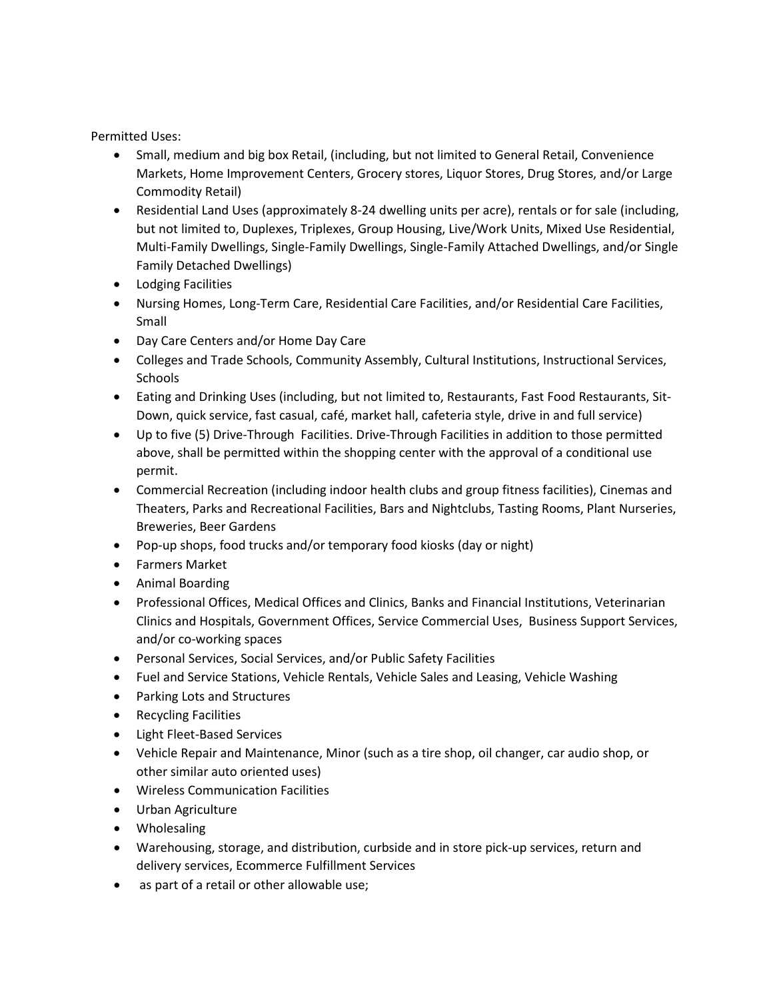Permitted Uses:

- Small, medium and big box Retail, (including, but not limited to General Retail, Convenience Markets, Home Improvement Centers, Grocery stores, Liquor Stores, Drug Stores, and/or Large Commodity Retail)
- Residential Land Uses (approximately 8-24 dwelling units per acre), rentals or for sale (including, but not limited to, Duplexes, Triplexes, Group Housing, Live/Work Units, Mixed Use Residential, Multi-Family Dwellings, Single-Family Dwellings, Single-Family Attached Dwellings, and/or Single Family Detached Dwellings)
- Lodging Facilities
- Nursing Homes, Long-Term Care, Residential Care Facilities, and/or Residential Care Facilities, Small
- Day Care Centers and/or Home Day Care
- Colleges and Trade Schools, Community Assembly, Cultural Institutions, Instructional Services, **Schools**
- Eating and Drinking Uses (including, but not limited to, Restaurants, Fast Food Restaurants, Sit-Down, quick service, fast casual, café, market hall, cafeteria style, drive in and full service)
- Up to five (5) Drive-Through Facilities. Drive-Through Facilities in addition to those permitted above, shall be permitted within the shopping center with the approval of a conditional use permit.
- Commercial Recreation (including indoor health clubs and group fitness facilities), Cinemas and Theaters, Parks and Recreational Facilities, Bars and Nightclubs, Tasting Rooms, Plant Nurseries, Breweries, Beer Gardens
- Pop-up shops, food trucks and/or temporary food kiosks (day or night)
- Farmers Market
- Animal Boarding
- Professional Offices, Medical Offices and Clinics, Banks and Financial Institutions, Veterinarian Clinics and Hospitals, Government Offices, Service Commercial Uses, Business Support Services, and/or co-working spaces
- Personal Services, Social Services, and/or Public Safety Facilities
- Fuel and Service Stations, Vehicle Rentals, Vehicle Sales and Leasing, Vehicle Washing
- Parking Lots and Structures
- Recycling Facilities
- Light Fleet-Based Services
- Vehicle Repair and Maintenance, Minor (such as a tire shop, oil changer, car audio shop, or other similar auto oriented uses)
- Wireless Communication Facilities
- Urban Agriculture
- Wholesaling
- Warehousing, storage, and distribution, curbside and in store pick-up services, return and delivery services, Ecommerce Fulfillment Services
- as part of a retail or other allowable use;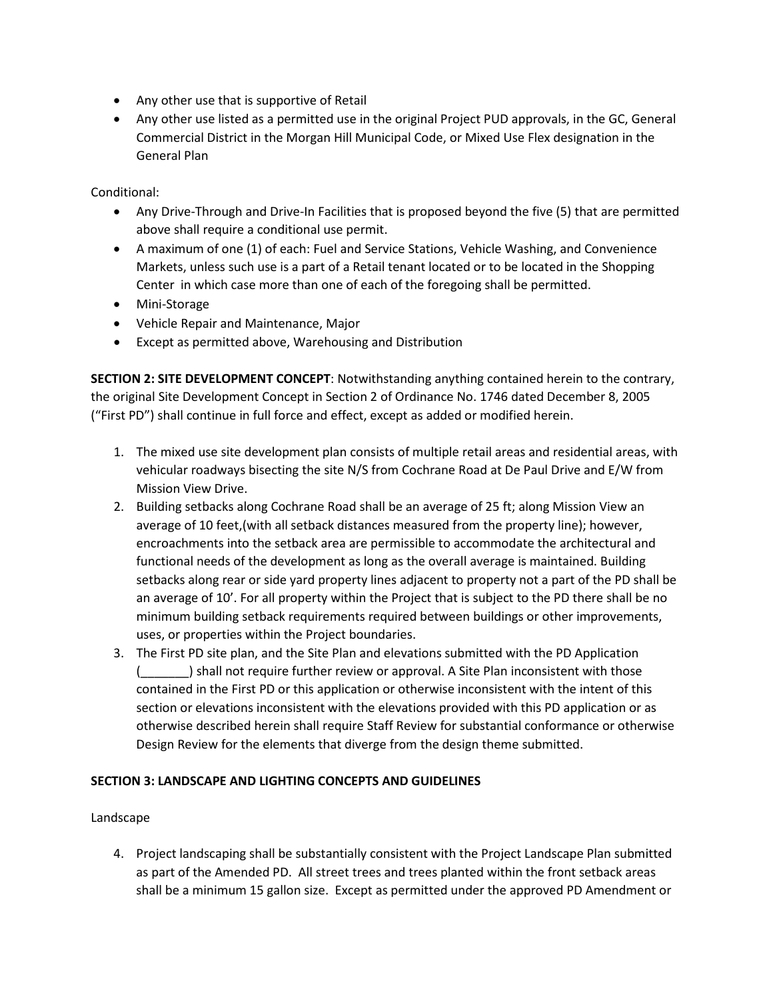- Any other use that is supportive of Retail
- Any other use listed as a permitted use in the original Project PUD approvals, in the GC, General Commercial District in the Morgan Hill Municipal Code, or Mixed Use Flex designation in the General Plan

Conditional:

- Any Drive-Through and Drive-In Facilities that is proposed beyond the five (5) that are permitted above shall require a conditional use permit.
- A maximum of one (1) of each: Fuel and Service Stations, Vehicle Washing, and Convenience Markets, unless such use is a part of a Retail tenant located or to be located in the Shopping Center in which case more than one of each of the foregoing shall be permitted.
- Mini-Storage
- Vehicle Repair and Maintenance, Major
- Except as permitted above, Warehousing and Distribution

**SECTION 2: SITE DEVELOPMENT CONCEPT**: Notwithstanding anything contained herein to the contrary, the original Site Development Concept in Section 2 of Ordinance No. 1746 dated December 8, 2005 ("First PD") shall continue in full force and effect, except as added or modified herein.

- 1. The mixed use site development plan consists of multiple retail areas and residential areas, with vehicular roadways bisecting the site N/S from Cochrane Road at De Paul Drive and E/W from Mission View Drive.
- 2. Building setbacks along Cochrane Road shall be an average of 25 ft; along Mission View an average of 10 feet,(with all setback distances measured from the property line); however, encroachments into the setback area are permissible to accommodate the architectural and functional needs of the development as long as the overall average is maintained. Building setbacks along rear or side yard property lines adjacent to property not a part of the PD shall be an average of 10'. For all property within the Project that is subject to the PD there shall be no minimum building setback requirements required between buildings or other improvements, uses, or properties within the Project boundaries.
- 3. The First PD site plan, and the Site Plan and elevations submitted with the PD Application (\_\_\_\_\_\_\_) shall not require further review or approval. A Site Plan inconsistent with those contained in the First PD or this application or otherwise inconsistent with the intent of this section or elevations inconsistent with the elevations provided with this PD application or as otherwise described herein shall require Staff Review for substantial conformance or otherwise Design Review for the elements that diverge from the design theme submitted.

# **SECTION 3: LANDSCAPE AND LIGHTING CONCEPTS AND GUIDELINES**

## Landscape

4. Project landscaping shall be substantially consistent with the Project Landscape Plan submitted as part of the Amended PD. All street trees and trees planted within the front setback areas shall be a minimum 15 gallon size. Except as permitted under the approved PD Amendment or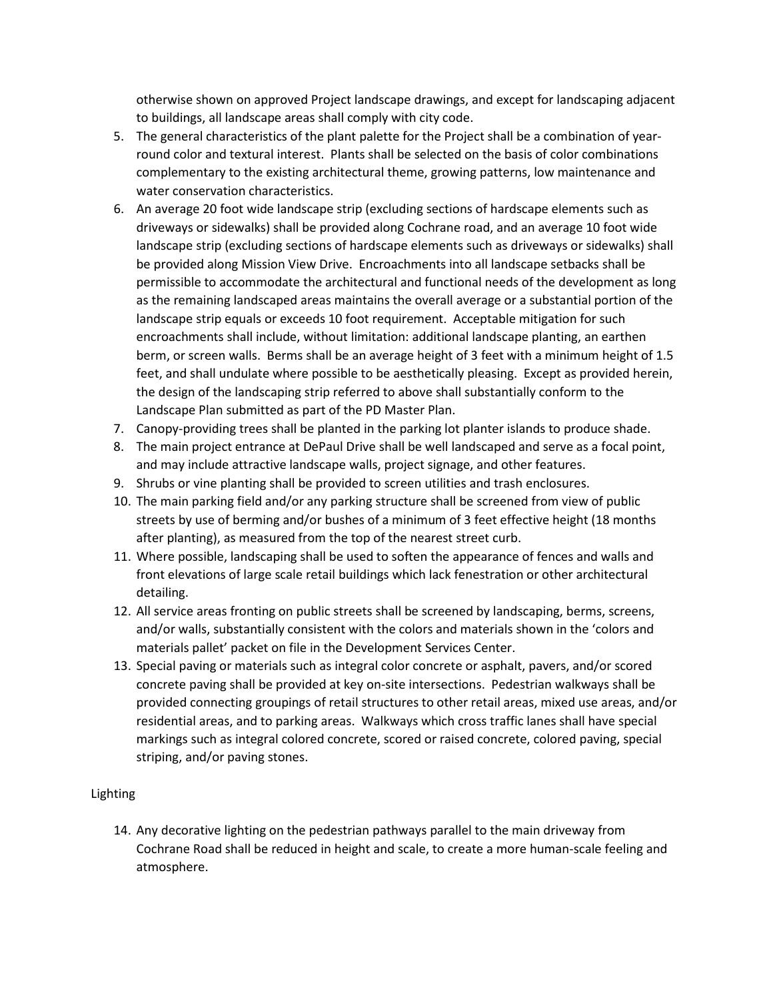otherwise shown on approved Project landscape drawings, and except for landscaping adjacent to buildings, all landscape areas shall comply with city code.

- 5. The general characteristics of the plant palette for the Project shall be a combination of yearround color and textural interest. Plants shall be selected on the basis of color combinations complementary to the existing architectural theme, growing patterns, low maintenance and water conservation characteristics.
- 6. An average 20 foot wide landscape strip (excluding sections of hardscape elements such as driveways or sidewalks) shall be provided along Cochrane road, and an average 10 foot wide landscape strip (excluding sections of hardscape elements such as driveways or sidewalks) shall be provided along Mission View Drive. Encroachments into all landscape setbacks shall be permissible to accommodate the architectural and functional needs of the development as long as the remaining landscaped areas maintains the overall average or a substantial portion of the landscape strip equals or exceeds 10 foot requirement. Acceptable mitigation for such encroachments shall include, without limitation: additional landscape planting, an earthen berm, or screen walls. Berms shall be an average height of 3 feet with a minimum height of 1.5 feet, and shall undulate where possible to be aesthetically pleasing. Except as provided herein, the design of the landscaping strip referred to above shall substantially conform to the Landscape Plan submitted as part of the PD Master Plan.
- 7. Canopy-providing trees shall be planted in the parking lot planter islands to produce shade.
- 8. The main project entrance at DePaul Drive shall be well landscaped and serve as a focal point, and may include attractive landscape walls, project signage, and other features.
- 9. Shrubs or vine planting shall be provided to screen utilities and trash enclosures.
- 10. The main parking field and/or any parking structure shall be screened from view of public streets by use of berming and/or bushes of a minimum of 3 feet effective height (18 months after planting), as measured from the top of the nearest street curb.
- 11. Where possible, landscaping shall be used to soften the appearance of fences and walls and front elevations of large scale retail buildings which lack fenestration or other architectural detailing.
- 12. All service areas fronting on public streets shall be screened by landscaping, berms, screens, and/or walls, substantially consistent with the colors and materials shown in the 'colors and materials pallet' packet on file in the Development Services Center.
- 13. Special paving or materials such as integral color concrete or asphalt, pavers, and/or scored concrete paving shall be provided at key on-site intersections. Pedestrian walkways shall be provided connecting groupings of retail structures to other retail areas, mixed use areas, and/or residential areas, and to parking areas. Walkways which cross traffic lanes shall have special markings such as integral colored concrete, scored or raised concrete, colored paving, special striping, and/or paving stones.

# Lighting

14. Any decorative lighting on the pedestrian pathways parallel to the main driveway from Cochrane Road shall be reduced in height and scale, to create a more human-scale feeling and atmosphere.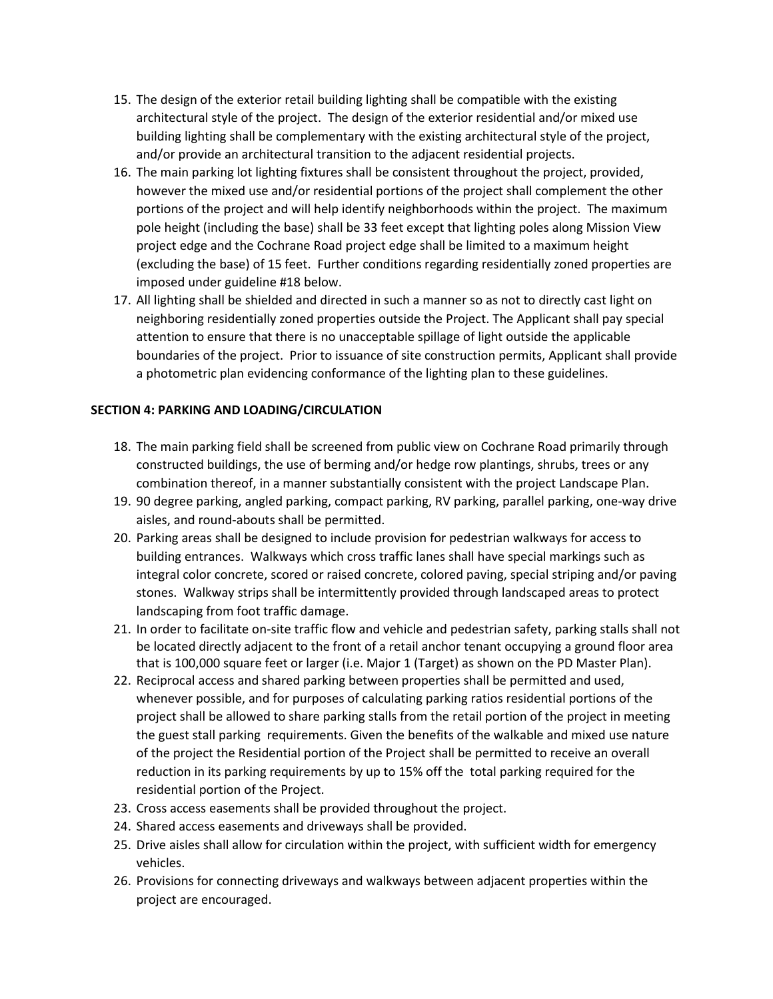- 15. The design of the exterior retail building lighting shall be compatible with the existing architectural style of the project. The design of the exterior residential and/or mixed use building lighting shall be complementary with the existing architectural style of the project, and/or provide an architectural transition to the adjacent residential projects.
- 16. The main parking lot lighting fixtures shall be consistent throughout the project, provided, however the mixed use and/or residential portions of the project shall complement the other portions of the project and will help identify neighborhoods within the project. The maximum pole height (including the base) shall be 33 feet except that lighting poles along Mission View project edge and the Cochrane Road project edge shall be limited to a maximum height (excluding the base) of 15 feet. Further conditions regarding residentially zoned properties are imposed under guideline #18 below.
- 17. All lighting shall be shielded and directed in such a manner so as not to directly cast light on neighboring residentially zoned properties outside the Project. The Applicant shall pay special attention to ensure that there is no unacceptable spillage of light outside the applicable boundaries of the project. Prior to issuance of site construction permits, Applicant shall provide a photometric plan evidencing conformance of the lighting plan to these guidelines.

# **SECTION 4: PARKING AND LOADING/CIRCULATION**

- 18. The main parking field shall be screened from public view on Cochrane Road primarily through constructed buildings, the use of berming and/or hedge row plantings, shrubs, trees or any combination thereof, in a manner substantially consistent with the project Landscape Plan.
- 19. 90 degree parking, angled parking, compact parking, RV parking, parallel parking, one-way drive aisles, and round-abouts shall be permitted.
- 20. Parking areas shall be designed to include provision for pedestrian walkways for access to building entrances. Walkways which cross traffic lanes shall have special markings such as integral color concrete, scored or raised concrete, colored paving, special striping and/or paving stones. Walkway strips shall be intermittently provided through landscaped areas to protect landscaping from foot traffic damage.
- 21. In order to facilitate on-site traffic flow and vehicle and pedestrian safety, parking stalls shall not be located directly adjacent to the front of a retail anchor tenant occupying a ground floor area that is 100,000 square feet or larger (i.e. Major 1 (Target) as shown on the PD Master Plan).
- 22. Reciprocal access and shared parking between properties shall be permitted and used, whenever possible, and for purposes of calculating parking ratios residential portions of the project shall be allowed to share parking stalls from the retail portion of the project in meeting the guest stall parking requirements. Given the benefits of the walkable and mixed use nature of the project the Residential portion of the Project shall be permitted to receive an overall reduction in its parking requirements by up to 15% off the total parking required for the residential portion of the Project.
- 23. Cross access easements shall be provided throughout the project.
- 24. Shared access easements and driveways shall be provided.
- 25. Drive aisles shall allow for circulation within the project, with sufficient width for emergency vehicles.
- 26. Provisions for connecting driveways and walkways between adjacent properties within the project are encouraged.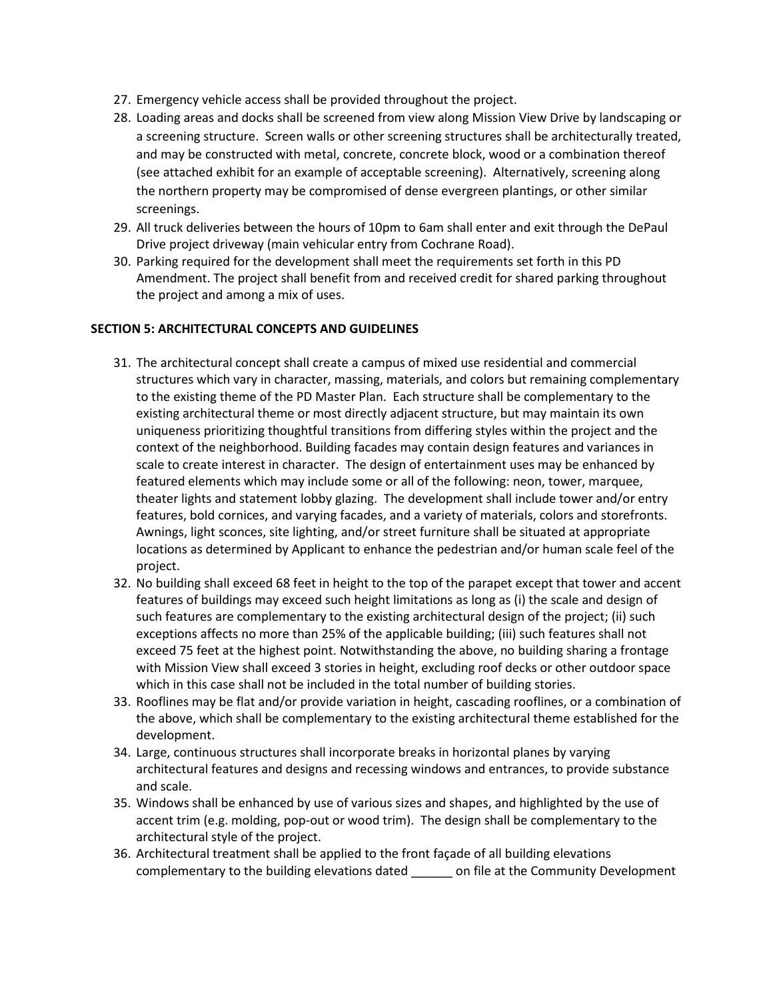- 27. Emergency vehicle access shall be provided throughout the project.
- 28. Loading areas and docks shall be screened from view along Mission View Drive by landscaping or a screening structure. Screen walls or other screening structures shall be architecturally treated, and may be constructed with metal, concrete, concrete block, wood or a combination thereof (see attached exhibit for an example of acceptable screening). Alternatively, screening along the northern property may be compromised of dense evergreen plantings, or other similar screenings.
- 29. All truck deliveries between the hours of 10pm to 6am shall enter and exit through the DePaul Drive project driveway (main vehicular entry from Cochrane Road).
- 30. Parking required for the development shall meet the requirements set forth in this PD Amendment. The project shall benefit from and received credit for shared parking throughout the project and among a mix of uses.

## **SECTION 5: ARCHITECTURAL CONCEPTS AND GUIDELINES**

- 31. The architectural concept shall create a campus of mixed use residential and commercial structures which vary in character, massing, materials, and colors but remaining complementary to the existing theme of the PD Master Plan. Each structure shall be complementary to the existing architectural theme or most directly adjacent structure, but may maintain its own uniqueness prioritizing thoughtful transitions from differing styles within the project and the context of the neighborhood. Building facades may contain design features and variances in scale to create interest in character. The design of entertainment uses may be enhanced by featured elements which may include some or all of the following: neon, tower, marquee, theater lights and statement lobby glazing. The development shall include tower and/or entry features, bold cornices, and varying facades, and a variety of materials, colors and storefronts. Awnings, light sconces, site lighting, and/or street furniture shall be situated at appropriate locations as determined by Applicant to enhance the pedestrian and/or human scale feel of the project.
- 32. No building shall exceed 68 feet in height to the top of the parapet except that tower and accent features of buildings may exceed such height limitations as long as (i) the scale and design of such features are complementary to the existing architectural design of the project; (ii) such exceptions affects no more than 25% of the applicable building; (iii) such features shall not exceed 75 feet at the highest point. Notwithstanding the above, no building sharing a frontage with Mission View shall exceed 3 stories in height, excluding roof decks or other outdoor space which in this case shall not be included in the total number of building stories.
- 33. Rooflines may be flat and/or provide variation in height, cascading rooflines, or a combination of the above, which shall be complementary to the existing architectural theme established for the development.
- 34. Large, continuous structures shall incorporate breaks in horizontal planes by varying architectural features and designs and recessing windows and entrances, to provide substance and scale.
- 35. Windows shall be enhanced by use of various sizes and shapes, and highlighted by the use of accent trim (e.g. molding, pop-out or wood trim). The design shall be complementary to the architectural style of the project.
- 36. Architectural treatment shall be applied to the front façade of all building elevations complementary to the building elevations dated \_\_\_\_\_\_ on file at the Community Development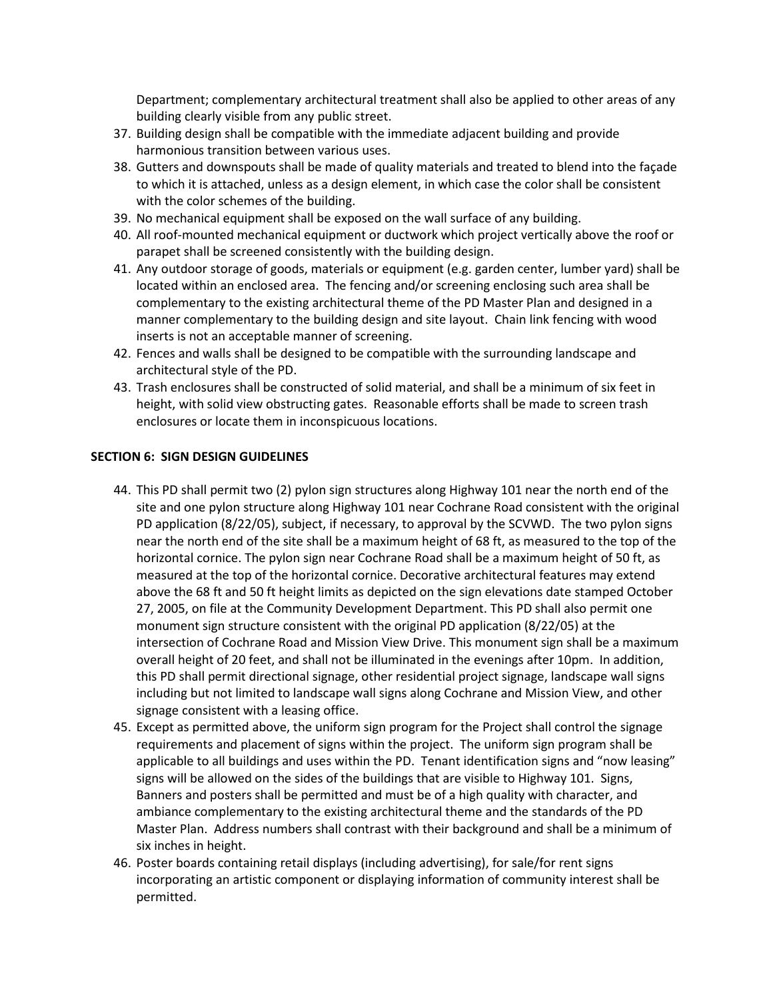Department; complementary architectural treatment shall also be applied to other areas of any building clearly visible from any public street.

- 37. Building design shall be compatible with the immediate adjacent building and provide harmonious transition between various uses.
- 38. Gutters and downspouts shall be made of quality materials and treated to blend into the façade to which it is attached, unless as a design element, in which case the color shall be consistent with the color schemes of the building.
- 39. No mechanical equipment shall be exposed on the wall surface of any building.
- 40. All roof-mounted mechanical equipment or ductwork which project vertically above the roof or parapet shall be screened consistently with the building design.
- 41. Any outdoor storage of goods, materials or equipment (e.g. garden center, lumber yard) shall be located within an enclosed area. The fencing and/or screening enclosing such area shall be complementary to the existing architectural theme of the PD Master Plan and designed in a manner complementary to the building design and site layout. Chain link fencing with wood inserts is not an acceptable manner of screening.
- 42. Fences and walls shall be designed to be compatible with the surrounding landscape and architectural style of the PD.
- 43. Trash enclosures shall be constructed of solid material, and shall be a minimum of six feet in height, with solid view obstructing gates. Reasonable efforts shall be made to screen trash enclosures or locate them in inconspicuous locations.

## **SECTION 6: SIGN DESIGN GUIDELINES**

- 44. This PD shall permit two (2) pylon sign structures along Highway 101 near the north end of the site and one pylon structure along Highway 101 near Cochrane Road consistent with the original PD application (8/22/05), subject, if necessary, to approval by the SCVWD. The two pylon signs near the north end of the site shall be a maximum height of 68 ft, as measured to the top of the horizontal cornice. The pylon sign near Cochrane Road shall be a maximum height of 50 ft, as measured at the top of the horizontal cornice. Decorative architectural features may extend above the 68 ft and 50 ft height limits as depicted on the sign elevations date stamped October 27, 2005, on file at the Community Development Department. This PD shall also permit one monument sign structure consistent with the original PD application (8/22/05) at the intersection of Cochrane Road and Mission View Drive. This monument sign shall be a maximum overall height of 20 feet, and shall not be illuminated in the evenings after 10pm. In addition, this PD shall permit directional signage, other residential project signage, landscape wall signs including but not limited to landscape wall signs along Cochrane and Mission View, and other signage consistent with a leasing office.
- 45. Except as permitted above, the uniform sign program for the Project shall control the signage requirements and placement of signs within the project. The uniform sign program shall be applicable to all buildings and uses within the PD. Tenant identification signs and "now leasing" signs will be allowed on the sides of the buildings that are visible to Highway 101. Signs, Banners and posters shall be permitted and must be of a high quality with character, and ambiance complementary to the existing architectural theme and the standards of the PD Master Plan. Address numbers shall contrast with their background and shall be a minimum of six inches in height.
- 46. Poster boards containing retail displays (including advertising), for sale/for rent signs incorporating an artistic component or displaying information of community interest shall be permitted.